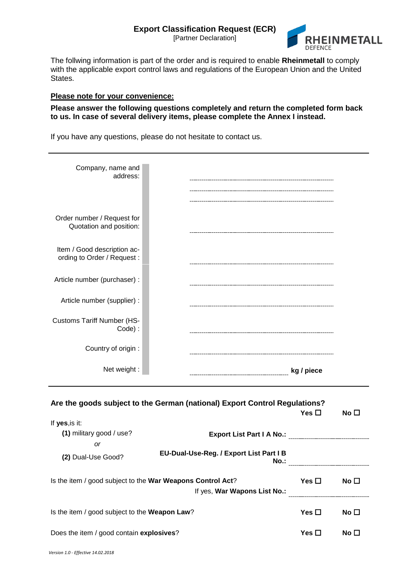[Partner Declaration]



The follwing information is part of the order and is required to enable **Rheinmetall** to comply with the applicable export control laws and regulations of the European Union and the United States.

## **Please note for your convenience:**

## **Please answer the following questions completely and return the completed form back to us. In case of several delivery items, please complete the Annex I instead.**

If you have any questions, please do not hesitate to contact us.

| Company, name and<br>address:                              |                                                                            |               |              |
|------------------------------------------------------------|----------------------------------------------------------------------------|---------------|--------------|
| Order number / Request for<br>Quotation and position:      |                                                                            |               |              |
| Item / Good description ac-<br>ording to Order / Request:  |                                                                            |               |              |
| Article number (purchaser) :                               |                                                                            |               |              |
| Article number (supplier) :                                |                                                                            |               |              |
| <b>Customs Tariff Number (HS-</b><br>Code):                |                                                                            |               |              |
| Country of origin :                                        |                                                                            |               |              |
| Net weight:                                                | kg / piece                                                                 |               |              |
| If yes, is it:                                             | Are the goods subject to the German (national) Export Control Regulations? | Yes $\square$ | No $\square$ |
| (1) military good / use?                                   |                                                                            |               |              |
| <b>or</b>                                                  |                                                                            |               |              |
| (2) Dual-Use Good?                                         | EU-Dual-Use-Reg. / Export List Part I B<br>$No.$ :                         |               |              |
| Is the item / good subject to the War Weapons Control Act? | If yes, War Wapons List No.:                                               | Yes $\square$ | No $\square$ |
| Is the item / good subject to the Weapon Law?              | Yes $\square$                                                              | No $\square$  |              |
| Does the item / good contain explosives?                   | Yes $\square$                                                              | No $\square$  |              |